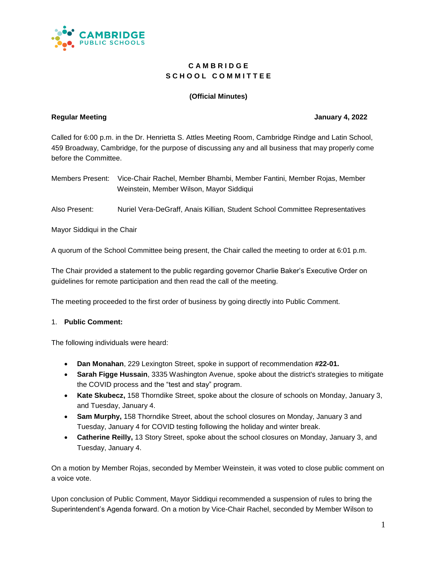

# **C A M B R I D G E** S C H O O L C O M M I T T E E

## **(Official Minutes)**

#### **Regular Meeting January 4, 2022**

Called for 6:00 p.m. in the Dr. Henrietta S. Attles Meeting Room, Cambridge Rindge and Latin School, 459 Broadway, Cambridge, for the purpose of discussing any and all business that may properly come before the Committee.

| Members Present: Vice-Chair Rachel, Member Bhambi, Member Fantini, Member Rojas, Member |
|-----------------------------------------------------------------------------------------|
| Weinstein, Member Wilson, Mayor Siddiqui                                                |

Also Present: Nuriel Vera-DeGraff, Anais Killian, Student School Committee Representatives

Mayor Siddiqui in the Chair

A quorum of the School Committee being present, the Chair called the meeting to order at 6:01 p.m.

The Chair provided a statement to the public regarding governor Charlie Baker's Executive Order on guidelines for remote participation and then read the call of the meeting.

The meeting proceeded to the first order of business by going directly into Public Comment.

#### 1. **Public Comment:**

The following individuals were heard:

- **Dan Monahan**, 229 Lexington Street, spoke in support of recommendation **#22-01.**
- **Sarah Figge Hussain**, 3335 Washington Avenue, spoke about the district's strategies to mitigate the COVID process and the "test and stay" program.
- **Kate Skubecz,** 158 Thorndike Street, spoke about the closure of schools on Monday, January 3, and Tuesday, January 4.
- **Sam Murphy,** 158 Thorndike Street, about the school closures on Monday, January 3 and Tuesday, January 4 for COVID testing following the holiday and winter break.
- **Catherine Reilly,** 13 Story Street, spoke about the school closures on Monday, January 3, and Tuesday, January 4.

On a motion by Member Rojas, seconded by Member Weinstein, it was voted to close public comment on a voice vote.

Upon conclusion of Public Comment, Mayor Siddiqui recommended a suspension of rules to bring the Superintendent's Agenda forward. On a motion by Vice-Chair Rachel, seconded by Member Wilson to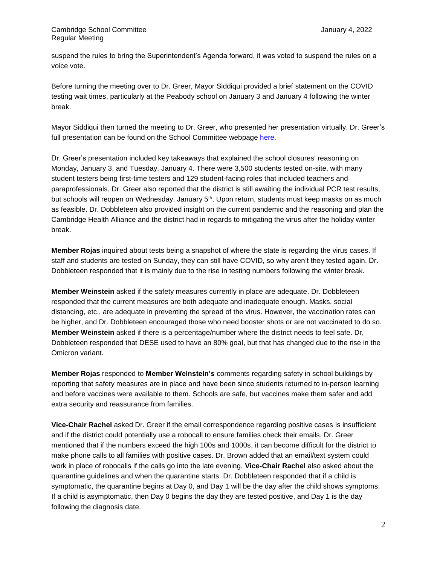suspend the rules to bring the Superintendent's Agenda forward, it was voted to suspend the rules on a voice vote.

Before turning the meeting over to Dr. Greer, Mayor Siddiqui provided a brief statement on the COVID testing wait times, particularly at the Peabody school on January 3 and January 4 following the winter break.

Mayor Siddiqui then turned the meeting to Dr. Greer, who presented her presentation virtually. Dr. Greer's full presentation can be found on the School Committee webpage [here.](https://docs.google.com/presentation/d/19Fmzgsso3gfs5glnn6yItC7advp4mrs23HJ6IXVg24I/edit#slide=id.gcf7ad4f831_2_104)

Dr. Greer's presentation included key takeaways that explained the school closures' reasoning on Monday, January 3, and Tuesday, January 4. There were 3,500 students tested on-site, with many student testers being first-time testers and 129 student-facing roles that included teachers and paraprofessionals. Dr. Greer also reported that the district is still awaiting the individual PCR test results, but schools will reopen on Wednesday, January 5<sup>th</sup>. Upon return, students must keep masks on as much as feasible. Dr. Dobbleteen also provided insight on the current pandemic and the reasoning and plan the Cambridge Health Alliance and the district had in regards to mitigating the virus after the holiday winter break.

**Member Rojas** inquired about tests being a snapshot of where the state is regarding the virus cases. If staff and students are tested on Sunday, they can still have COVID, so why aren't they tested again. Dr. Dobbleteen responded that it is mainly due to the rise in testing numbers following the winter break.

**Member Weinstein** asked if the safety measures currently in place are adequate. Dr. Dobbleteen responded that the current measures are both adequate and inadequate enough. Masks, social distancing, etc., are adequate in preventing the spread of the virus. However, the vaccination rates can be higher, and Dr. Dobbleteen encouraged those who need booster shots or are not vaccinated to do so. **Member Weinstein** asked if there is a percentage/number where the district needs to feel safe. Dr, Dobbleteen responded that DESE used to have an 80% goal, but that has changed due to the rise in the Omicron variant.

**Member Rojas** responded to **Member Weinstein's** comments regarding safety in school buildings by reporting that safety measures are in place and have been since students returned to in-person learning and before vaccines were available to them. Schools are safe, but vaccines make them safer and add extra security and reassurance from families.

**Vice-Chair Rachel** asked Dr. Greer if the email correspondence regarding positive cases is insufficient and if the district could potentially use a robocall to ensure families check their emails. Dr. Greer mentioned that if the numbers exceed the high 100s and 1000s, it can become difficult for the district to make phone calls to all families with positive cases. Dr. Brown added that an email/text system could work in place of robocalls if the calls go into the late evening. **Vice-Chair Rachel** also asked about the quarantine guidelines and when the quarantine starts. Dr. Dobbleteen responded that if a child is symptomatic, the quarantine begins at Day 0, and Day 1 will be the day after the child shows symptoms. If a child is asymptomatic, then Day 0 begins the day they are tested positive, and Day 1 is the day following the diagnosis date.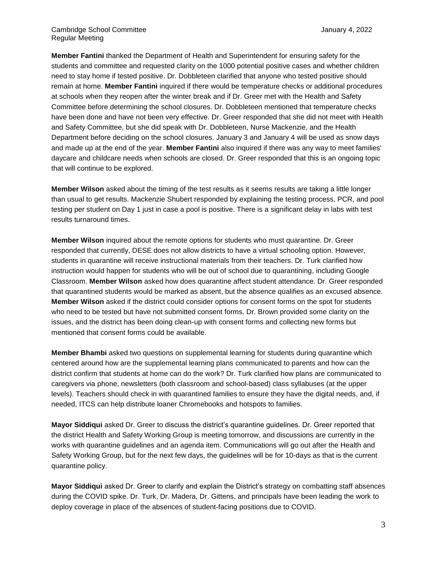**Member Fantini** thanked the Department of Health and Superintendent for ensuring safety for the students and committee and requested clarity on the 1000 potential positive cases and whether children need to stay home if tested positive. Dr. Dobbleteen clarified that anyone who tested positive should remain at home. **Member Fantini** inquired if there would be temperature checks or additional procedures at schools when they reopen after the winter break and if Dr. Greer met with the Health and Safety Committee before determining the school closures. Dr. Dobbleteen mentioned that temperature checks have been done and have not been very effective. Dr. Greer responded that she did not meet with Health and Safety Committee, but she did speak with Dr. Dobbleteen, Nurse Mackenzie, and the Health Department before deciding on the school closures. January 3 and January 4 will be used as snow days and made up at the end of the year. **Member Fantini** also inquired if there was any way to meet families' daycare and childcare needs when schools are closed. Dr. Greer responded that this is an ongoing topic that will continue to be explored.

**Member Wilson** asked about the timing of the test results as it seems results are taking a little longer than usual to get results. Mackenzie Shubert responded by explaining the testing process, PCR, and pool testing per student on Day 1 just in case a pool is positive. There is a significant delay in labs with test results turnaround times.

**Member Wilson** inquired about the remote options for students who must quarantine. Dr. Greer responded that currently, DESE does not allow districts to have a virtual schooling option. However, students in quarantine will receive instructional materials from their teachers. Dr. Turk clarified how instruction would happen for students who will be out of school due to quarantining, including Google Classroom. **Member Wilson** asked how does quarantine affect student attendance. Dr. Greer responded that quarantined students would be marked as absent, but the absence qualifies as an excused absence. **Member Wilson** asked if the district could consider options for consent forms on the spot for students who need to be tested but have not submitted consent forms. Dr. Brown provided some clarity on the issues, and the district has been doing clean-up with consent forms and collecting new forms but mentioned that consent forms could be available.

**Member Bhambi** asked two questions on supplemental learning for students during quarantine which centered around how are the supplemental learning plans communicated to parents and how can the district confirm that students at home can do the work? Dr. Turk clarified how plans are communicated to caregivers via phone, newsletters (both classroom and school-based) class syllabuses (at the upper levels). Teachers should check in with quarantined families to ensure they have the digital needs, and, if needed, ITCS can help distribute loaner Chromebooks and hotspots to families.

**Mayor Siddiqui** asked Dr. Greer to discuss the district's quarantine guidelines. Dr. Greer reported that the district Health and Safety Working Group is meeting tomorrow, and discussions are currently in the works with quarantine guidelines and an agenda item. Communications will go out after the Health and Safety Working Group, but for the next few days, the guidelines will be for 10-days as that is the current quarantine policy.

**Mayor Siddiqui** asked Dr. Greer to clarify and explain the District's strategy on combatting staff absences during the COVID spike. Dr. Turk, Dr. Madera, Dr. Gittens, and principals have been leading the work to deploy coverage in place of the absences of student-facing positions due to COVID.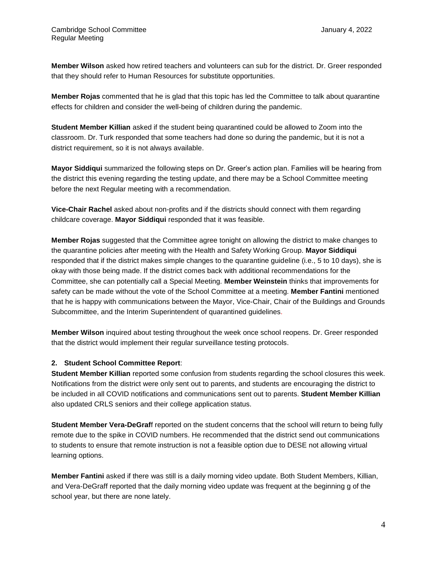**Member Wilson** asked how retired teachers and volunteers can sub for the district. Dr. Greer responded that they should refer to Human Resources for substitute opportunities.

**Member Rojas** commented that he is glad that this topic has led the Committee to talk about quarantine effects for children and consider the well-being of children during the pandemic.

**Student Member Killian** asked if the student being quarantined could be allowed to Zoom into the classroom. Dr. Turk responded that some teachers had done so during the pandemic, but it is not a district requirement, so it is not always available.

**Mayor Siddiqui** summarized the following steps on Dr. Greer's action plan. Families will be hearing from the district this evening regarding the testing update, and there may be a School Committee meeting before the next Regular meeting with a recommendation.

**Vice-Chair Rachel** asked about non-profits and if the districts should connect with them regarding childcare coverage. **Mayor Siddiqui** responded that it was feasible.

**Member Rojas** suggested that the Committee agree tonight on allowing the district to make changes to the quarantine policies after meeting with the Health and Safety Working Group. **Mayor Siddiqui**  responded that if the district makes simple changes to the quarantine guideline (i.e., 5 to 10 days), she is okay with those being made. If the district comes back with additional recommendations for the Committee, she can potentially call a Special Meeting. **Member Weinstein** thinks that improvements for safety can be made without the vote of the School Committee at a meeting. **Member Fantini** mentioned that he is happy with communications between the Mayor, Vice-Chair, Chair of the Buildings and Grounds Subcommittee, and the Interim Superintendent of quarantined guidelines.

**Member Wilson** inquired about testing throughout the week once school reopens. Dr. Greer responded that the district would implement their regular surveillance testing protocols.

# **2. Student School Committee Report**:

**Student Member Killian** reported some confusion from students regarding the school closures this week. Notifications from the district were only sent out to parents, and students are encouraging the district to be included in all COVID notifications and communications sent out to parents. **Student Member Killian**  also updated CRLS seniors and their college application status.

**Student Member Vera-DeGraf**f reported on the student concerns that the school will return to being fully remote due to the spike in COVID numbers. He recommended that the district send out communications to students to ensure that remote instruction is not a feasible option due to DESE not allowing virtual learning options.

**Member Fantini** asked if there was still is a daily morning video update. Both Student Members, Killian, and Vera-DeGraff reported that the daily morning video update was frequent at the beginning g of the school year, but there are none lately.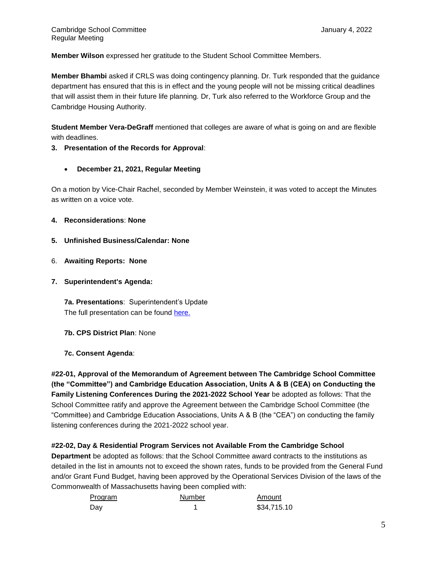**Member Wilson** expressed her gratitude to the Student School Committee Members.

**Member Bhambi** asked if CRLS was doing contingency planning. Dr. Turk responded that the guidance department has ensured that this is in effect and the young people will not be missing critical deadlines that will assist them in their future life planning. Dr, Turk also referred to the Workforce Group and the Cambridge Housing Authority.

**Student Member Vera-DeGraff** mentioned that colleges are aware of what is going on and are flexible with deadlines.

# **3. Presentation of the Records for Approval**:

• **December 21, 2021, Regular Meeting** 

On a motion by Vice-Chair Rachel, seconded by Member Weinstein, it was voted to accept the Minutes as written on a voice vote.

- **4. Reconsiderations**: **None**
- **5. Unfinished Business/Calendar: None**
- 6. **Awaiting Reports: None**
- **7. Superintendent's Agenda:**

**7a. Presentations**: Superintendent's Update The full presentation can be found [here.](https://docs.google.com/presentation/d/19Fmzgsso3gfs5glnn6yItC7advp4mrs23HJ6IXVg24I/edit#slide=id.gcf7ad4f831_2_104)

- **7b. CPS District Plan**: None
- **7c. Consent Agenda**:

**#22-01, Approval of the Memorandum of Agreement between The Cambridge School Committee (the "Committee") and Cambridge Education Association, Units A & B (CEA) on Conducting the Family Listening Conferences During the 2021-2022 School Year** be adopted as follows: That the School Committee ratify and approve the Agreement between the Cambridge School Committee (the "Committee) and Cambridge Education Associations, Units A & B (the "CEA") on conducting the family listening conferences during the 2021-2022 school year.

## **#22-02, Day & Residential Program Services not Available From the Cambridge School**

**Department** be adopted as follows: that the School Committee award contracts to the institutions as detailed in the list in amounts not to exceed the shown rates, funds to be provided from the General Fund and/or Grant Fund Budget, having been approved by the Operational Services Division of the laws of the Commonwealth of Massachusetts having been complied with:

| Program | Number | Amount      |
|---------|--------|-------------|
| Day     |        | \$34,715.10 |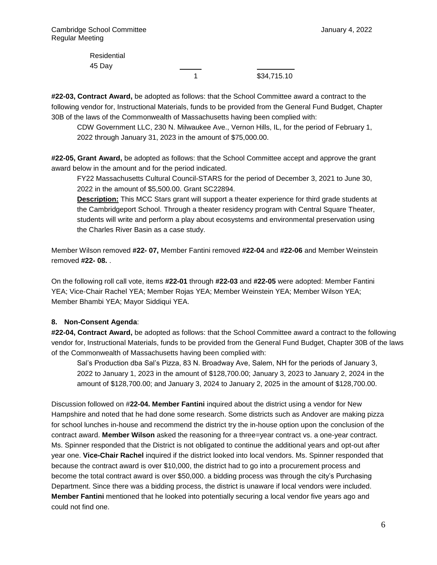Residential 45 Day

1 \$34,715.10

**#22-03, Contract Award,** be adopted as follows: that the School Committee award a contract to the following vendor for, Instructional Materials, funds to be provided from the General Fund Budget, Chapter 30B of the laws of the Commonwealth of Massachusetts having been complied with:

CDW Government LLC, 230 N. Milwaukee Ave., Vernon Hills, IL, for the period of February 1, 2022 through January 31, 2023 in the amount of \$75,000.00.

**#22-05, Grant Award,** be adopted as follows: that the School Committee accept and approve the grant award below in the amount and for the period indicated.

FY22 Massachusetts Cultural Council-STARS for the period of December 3, 2021 to June 30, 2022 in the amount of \$5,500.00. Grant SC22894.

**Description:** This MCC Stars grant will support a theater experience for third grade students at the Cambridgeport School. Through a theater residency program with Central Square Theater, students will write and perform a play about ecosystems and environmental preservation using the Charles River Basin as a case study.

Member Wilson removed **#22- 07,** Member Fantini removed **#22-04** and **#22-06** and Member Weinstein removed **#22- 08.** .

On the following roll call vote, items **#22-01** through **#22-03** and **#22-05** were adopted: Member Fantini YEA; Vice-Chair Rachel YEA; Member Rojas YEA; Member Weinstein YEA; Member Wilson YEA; Member Bhambi YEA; Mayor Siddiqui YEA.

## **8. Non-Consent Agenda**:

**#22-04, Contract Award,** be adopted as follows: that the School Committee award a contract to the following vendor for, Instructional Materials, funds to be provided from the General Fund Budget, Chapter 30B of the laws of the Commonwealth of Massachusetts having been complied with:

Sal's Production dba Sal's Pizza, 83 N. Broadway Ave, Salem, NH for the periods of January 3, 2022 to January 1, 2023 in the amount of \$128,700.00; January 3, 2023 to January 2, 2024 in the amount of \$128,700.00; and January 3, 2024 to January 2, 2025 in the amount of \$128,700.00.

Discussion followed on #**22-04. Member Fantini** inquired about the district using a vendor for New Hampshire and noted that he had done some research. Some districts such as Andover are making pizza for school lunches in-house and recommend the district try the in-house option upon the conclusion of the contract award. **Member Wilson** asked the reasoning for a three=year contract vs. a one-year contract. Ms. Spinner responded that the District is not obligated to continue the additional years and opt-out after year one. **Vice-Chair Rachel** inquired if the district looked into local vendors. Ms. Spinner responded that because the contract award is over \$10,000, the district had to go into a procurement process and become the total contract award is over \$50,000. a bidding process was through the city's Purchasing Department. Since there was a bidding process, the district is unaware if local vendors were included. **Member Fantini** mentioned that he looked into potentially securing a local vendor five years ago and could not find one.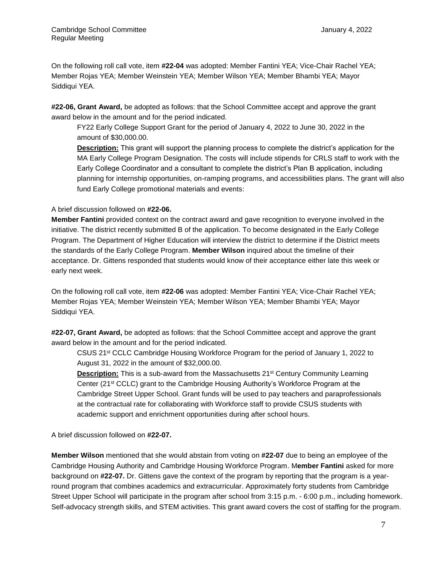On the following roll call vote, item **#22-04** was adopted: Member Fantini YEA; Vice-Chair Rachel YEA; Member Rojas YEA; Member Weinstein YEA; Member Wilson YEA; Member Bhambi YEA; Mayor Siddiqui YEA.

**#22-06, Grant Award,** be adopted as follows: that the School Committee accept and approve the grant award below in the amount and for the period indicated.

FY22 Early College Support Grant for the period of January 4, 2022 to June 30, 2022 in the amount of \$30,000.00.

**Description:** This grant will support the planning process to complete the district's application for the MA Early College Program Designation. The costs will include stipends for CRLS staff to work with the Early College Coordinator and a consultant to complete the district's Plan B application, including planning for internship opportunities, on-ramping programs, and accessibilities plans. The grant will also fund Early College promotional materials and events:

## A brief discussion followed on **#22-06.**

**Member Fantini** provided context on the contract award and gave recognition to everyone involved in the initiative. The district recently submitted B of the application. To become designated in the Early College Program. The Department of Higher Education will interview the district to determine if the District meets the standards of the Early College Program. **Member Wilson** inquired about the timeline of their acceptance. Dr. Gittens responded that students would know of their acceptance either late this week or early next week.

On the following roll call vote, item **#22-06** was adopted: Member Fantini YEA; Vice-Chair Rachel YEA; Member Rojas YEA; Member Weinstein YEA; Member Wilson YEA; Member Bhambi YEA; Mayor Siddiqui YEA.

**#22-07, Grant Award,** be adopted as follows: that the School Committee accept and approve the grant award below in the amount and for the period indicated.

CSUS 21st CCLC Cambridge Housing Workforce Program for the period of January 1, 2022 to August 31, 2022 in the amount of \$32,000.00.

**Description:** This is a sub-award from the Massachusetts 21<sup>st</sup> Century Community Learning Center (21st CCLC) grant to the Cambridge Housing Authority's Workforce Program at the Cambridge Street Upper School. Grant funds will be used to pay teachers and paraprofessionals at the contractual rate for collaborating with Workforce staff to provide CSUS students with academic support and enrichment opportunities during after school hours.

A brief discussion followed on **#22-07.**

**Member Wilson** mentioned that she would abstain from voting on **#22-07** due to being an employee of the Cambridge Housing Authority and Cambridge Housing Workforce Program. M**ember Fantini** asked for more background on **#22-07.** Dr. Gittens gave the context of the program by reporting that the program is a yearround program that combines academics and extracurricular. Approximately forty students from Cambridge Street Upper School will participate in the program after school from 3:15 p.m. - 6:00 p.m., including homework. Self-advocacy strength skills, and STEM activities. This grant award covers the cost of staffing for the program.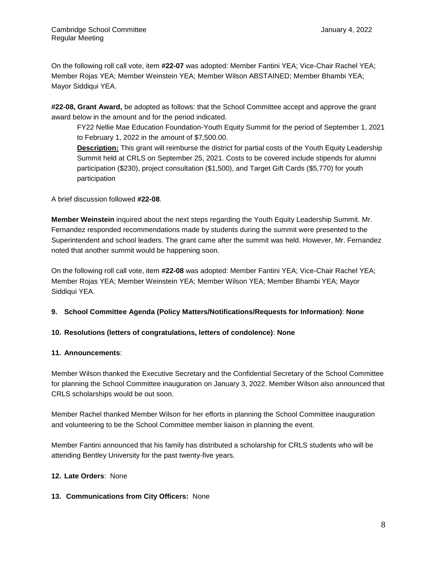On the following roll call vote, item **#22-07** was adopted: Member Fantini YEA; Vice-Chair Rachel YEA; Member Rojas YEA; Member Weinstein YEA; Member Wilson ABSTAINED; Member Bhambi YEA; Mayor Siddiqui YEA.

**#22-08, Grant Award,** be adopted as follows: that the School Committee accept and approve the grant award below in the amount and for the period indicated.

FY22 Nellie Mae Education Foundation-Youth Equity Summit for the period of September 1, 2021 to February 1, 2022 in the amount of \$7,500.00.

**Description:** This grant will reimburse the district for partial costs of the Youth Equity Leadership Summit held at CRLS on September 25, 2021. Costs to be covered include stipends for alumni participation (\$230), project consultation (\$1,500), and Target Gift Cards (\$5,770) for youth participation

A brief discussion followed **#22-08**.

**Member Weinstein** inquired about the next steps regarding the Youth Equity Leadership Summit. Mr. Fernandez responded recommendations made by students during the summit were presented to the Superintendent and school leaders. The grant came after the summit was held. However, Mr. Fernandez noted that another summit would be happening soon.

On the following roll call vote, item **#22-08** was adopted: Member Fantini YEA; Vice-Chair Rachel YEA; Member Rojas YEA; Member Weinstein YEA; Member Wilson YEA; Member Bhambi YEA; Mayor Siddiqui YEA.

## **9. School Committee Agenda (Policy Matters/Notifications/Requests for Information)**: **None**

## **10. Resolutions (letters of congratulations, letters of condolence)**: **None**

#### **11. Announcements**:

Member Wilson thanked the Executive Secretary and the Confidential Secretary of the School Committee for planning the School Committee inauguration on January 3, 2022. Member Wilson also announced that CRLS scholarships would be out soon.

Member Rachel thanked Member Wilson for her efforts in planning the School Committee inauguration and volunteering to be the School Committee member liaison in planning the event.

Member Fantini announced that his family has distributed a scholarship for CRLS students who will be attending Bentley University for the past twenty-five years.

## **12. Late Orders**: None

## **13. Communications from City Officers:** None